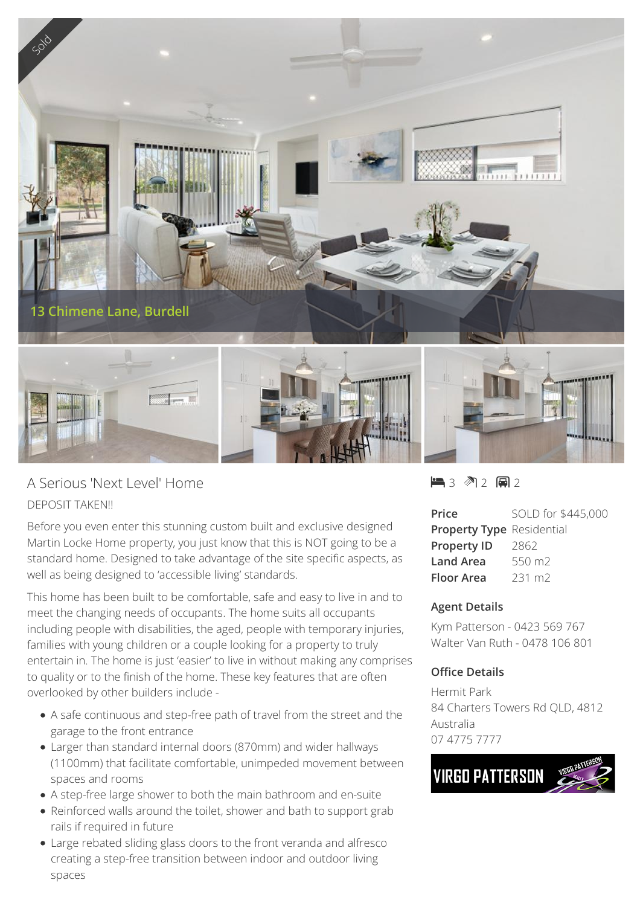

## A Serious 'Next Level' Home DEPOSIT TAKEN!!

Before you even enter this stunning custom built and exclusive designed Martin Locke Home property, you just know that this is NOT going to be a standard home. Designed to take advantage of the site specific aspects, as well as being designed to 'accessible living' standards.

This home has been built to be comfortable, safe and easy to live in and to meet the changing needs of occupants. The home suits all occupants including people with disabilities, the aged, people with temporary injuries, families with young children or a couple looking for a property to truly entertain in. The home is just 'easier' to live in without making any comprises to quality or to the finish of the home. These key features that are often overlooked by other builders include -

- A safe continuous and step-free path of travel from the street and the garage to the front entrance
- Larger than standard internal doors (870mm) and wider hallways (1100mm) that facilitate comfortable, unimpeded movement between spaces and rooms
- A step-free large shower to both the main bathroom and en-suite
- Reinforced walls around the toilet, shower and bath to support grab rails if required in future
- Large rebated sliding glass doors to the front veranda and alfresco creating a step-free transition between indoor and outdoor living spaces

 $-3$   $2$   $-2$   $-2$ 

| Price                            | SOLD for \$445,000 |
|----------------------------------|--------------------|
| <b>Property Type Residential</b> |                    |
| <b>Property ID</b>               | 2862               |
| <b>Land Area</b>                 | 550 m2             |
| Floor Area                       | 231 m <sub>2</sub> |

## **Agent Details**

Kym Patterson - 0423 569 767 Walter Van Ruth - 0478 106 801

## **Office Details**

Hermit Park 84 Charters Towers Rd QLD, 4812 Australia 07 4775 7777

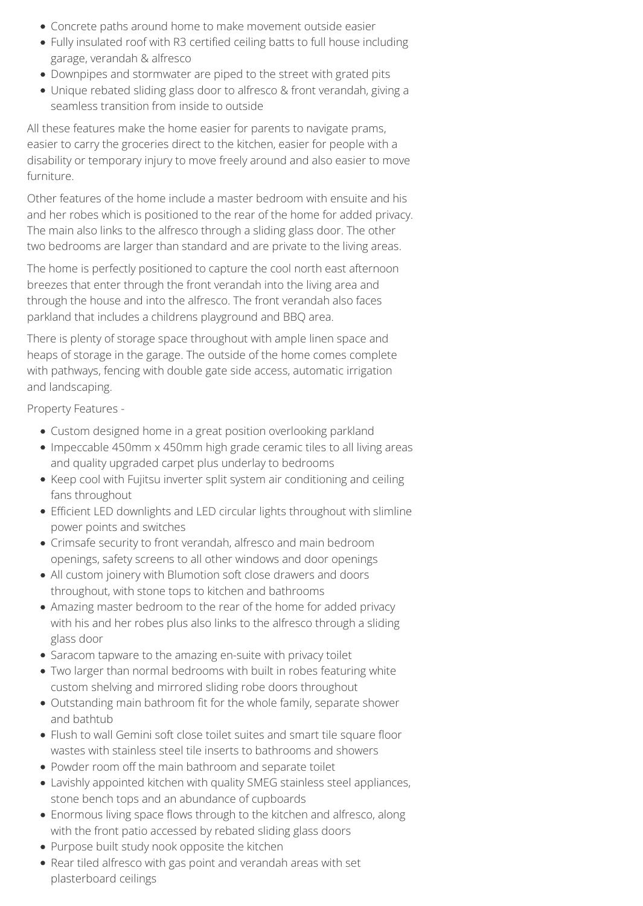- Concrete paths around home to make movement outside easier
- Fully insulated roof with R3 certified ceiling batts to full house including garage, verandah & alfresco
- Downpipes and stormwater are piped to the street with grated pits
- Unique rebated sliding glass door to alfresco & front verandah, giving a seamless transition from inside to outside

All these features make the home easier for parents to navigate prams, easier to carry the groceries direct to the kitchen, easier for people with a disability or temporary injury to move freely around and also easier to move furniture.

Other features of the home include a master bedroom with ensuite and his and her robes which is positioned to the rear of the home for added privacy. The main also links to the alfresco through a sliding glass door. The other two bedrooms are larger than standard and are private to the living areas.

The home is perfectly positioned to capture the cool north east afternoon breezes that enter through the front verandah into the living area and through the house and into the alfresco. The front verandah also faces parkland that includes a childrens playground and BBQ area.

There is plenty of storage space throughout with ample linen space and heaps of storage in the garage. The outside of the home comes complete with pathways, fencing with double gate side access, automatic irrigation and landscaping.

Property Features -

- Custom designed home in a great position overlooking parkland
- Impeccable 450mm x 450mm high grade ceramic tiles to all living areas and quality upgraded carpet plus underlay to bedrooms
- Keep cool with Fujitsu inverter split system air conditioning and ceiling fans throughout
- Efficient LED downlights and LED circular lights throughout with slimline power points and switches
- Crimsafe security to front verandah, alfresco and main bedroom openings, safety screens to all other windows and door openings
- All custom joinery with Blumotion soft close drawers and doors throughout, with stone tops to kitchen and bathrooms
- Amazing master bedroom to the rear of the home for added privacy with his and her robes plus also links to the alfresco through a sliding glass door
- Saracom tapware to the amazing en-suite with privacy toilet
- Two larger than normal bedrooms with built in robes featuring white custom shelving and mirrored sliding robe doors throughout
- Outstanding main bathroom fit for the whole family, separate shower and bathtub
- Flush to wall Gemini soft close toilet suites and smart tile square floor wastes with stainless steel tile inserts to bathrooms and showers
- Powder room off the main bathroom and separate toilet
- Lavishly appointed kitchen with quality SMEG stainless steel appliances, stone bench tops and an abundance of cupboards
- Enormous living space flows through to the kitchen and alfresco, along with the front patio accessed by rebated sliding glass doors
- Purpose built study nook opposite the kitchen
- Rear tiled alfresco with gas point and verandah areas with set plasterboard ceilings